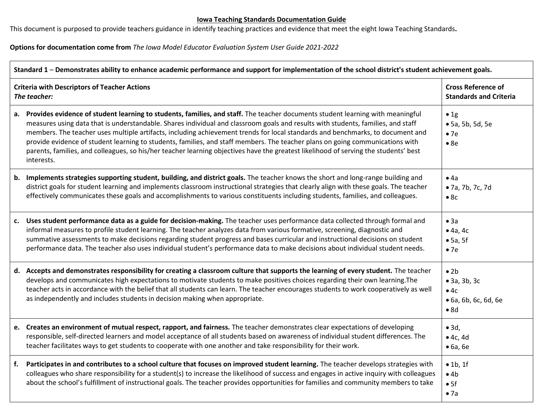## **Iowa Teaching Standards Documentation Guide**

This document is purposed to provide teachers guidance in identify teaching practices and evidence that meet the eight Iowa Teaching Standards**.** 

**Options for documentation come from** *The Iowa Model Educator Evaluation System User Guide 2021-2022*

| Standard 1 - Demonstrates ability to enhance academic performance and support for implementation of the school district's student achievement goals. |                                                                                                                                                                                                                                                                                                                                                                                                                                                                                                                                                                                                                                                                                                |                                                                            |
|------------------------------------------------------------------------------------------------------------------------------------------------------|------------------------------------------------------------------------------------------------------------------------------------------------------------------------------------------------------------------------------------------------------------------------------------------------------------------------------------------------------------------------------------------------------------------------------------------------------------------------------------------------------------------------------------------------------------------------------------------------------------------------------------------------------------------------------------------------|----------------------------------------------------------------------------|
| <b>Criteria with Descriptors of Teacher Actions</b><br>The teacher:                                                                                  |                                                                                                                                                                                                                                                                                                                                                                                                                                                                                                                                                                                                                                                                                                | <b>Cross Reference of</b><br><b>Standards and Criteria</b>                 |
|                                                                                                                                                      | a. Provides evidence of student learning to students, families, and staff. The teacher documents student learning with meaningful<br>measures using data that is understandable. Shares individual and classroom goals and results with students, families, and staff<br>members. The teacher uses multiple artifacts, including achievement trends for local standards and benchmarks, to document and<br>provide evidence of student learning to students, families, and staff members. The teacher plans on going communications with<br>parents, families, and colleagues, so his/her teacher learning objectives have the greatest likelihood of serving the students' best<br>interests. | $\bullet$ 1g<br>• 5a, 5b, 5d, 5e<br>•7e<br>•8e                             |
| b.                                                                                                                                                   | Implements strategies supporting student, building, and district goals. The teacher knows the short and long-range building and<br>district goals for student learning and implements classroom instructional strategies that clearly align with these goals. The teacher<br>effectively communicates these goals and accomplishments to various constituents including students, families, and colleagues.                                                                                                                                                                                                                                                                                    | • 4a<br>• 7a, 7b, 7c, 7d<br>•8c                                            |
| c.                                                                                                                                                   | Uses student performance data as a guide for decision-making. The teacher uses performance data collected through formal and<br>informal measures to profile student learning. The teacher analyzes data from various formative, screening, diagnostic and<br>summative assessments to make decisions regarding student progress and bases curricular and instructional decisions on student<br>performance data. The teacher also uses individual student's performance data to make decisions about individual student needs.                                                                                                                                                                | • 3a<br>• 4a, 4c<br>$\bullet$ 5a, 5f<br>•7e                                |
|                                                                                                                                                      | d. Accepts and demonstrates responsibility for creating a classroom culture that supports the learning of every student. The teacher<br>develops and communicates high expectations to motivate students to make positives choices regarding their own learning. The<br>teacher acts in accordance with the belief that all students can learn. The teacher encourages students to work cooperatively as well<br>as independently and includes students in decision making when appropriate.                                                                                                                                                                                                   | $\bullet$ 2b<br>$\bullet$ 3a, 3b, 3c<br>•4c<br>• 6a, 6b, 6c, 6d, 6e<br>•8d |
|                                                                                                                                                      | e. Creates an environment of mutual respect, rapport, and fairness. The teacher demonstrates clear expectations of developing<br>responsible, self-directed learners and model acceptance of all students based on awareness of individual student differences. The<br>teacher facilitates ways to get students to cooperate with one another and take responsibility for their work.                                                                                                                                                                                                                                                                                                          | $\bullet$ 3d,<br>$\bullet$ 4c, 4d<br>$\bullet$ 6a, 6e                      |
| f.                                                                                                                                                   | Participates in and contributes to a school culture that focuses on improved student learning. The teacher develops strategies with<br>colleagues who share responsibility for a student(s) to increase the likelihood of success and engages in active inquiry with colleagues<br>about the school's fulfillment of instructional goals. The teacher provides opportunities for families and community members to take                                                                                                                                                                                                                                                                        | $\bullet$ 1b, 1f<br>•4b<br>• 5f<br>• 7a                                    |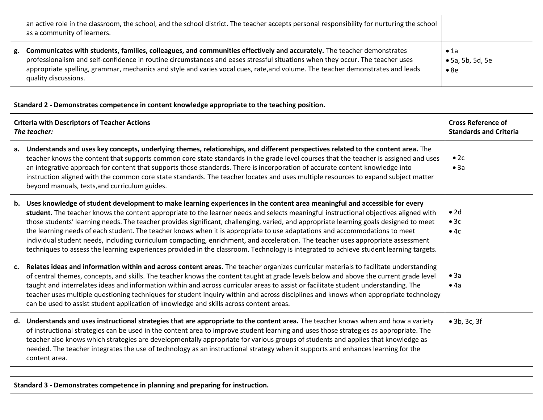| an active role in the classroom, the school, and the school district. The teacher accepts personal responsibility for nurturing the school<br>as a community of learners.                                                                                                                                                                                                                                            |                                                          |
|----------------------------------------------------------------------------------------------------------------------------------------------------------------------------------------------------------------------------------------------------------------------------------------------------------------------------------------------------------------------------------------------------------------------|----------------------------------------------------------|
| g. Communicates with students, families, colleagues, and communities effectively and accurately. The teacher demonstrates<br>professionalism and self-confidence in routine circumstances and eases stressful situations when they occur. The teacher uses<br>appropriate spelling, grammar, mechanics and style and varies vocal cues, rate, and volume. The teacher demonstrates and leads<br>quality discussions. | $\bullet$ 1a<br>$\bullet$ 5a, 5b, 5d, 5e<br>$\bullet$ 8e |

| Standard 2 - Demonstrates competence in content knowledge appropriate to the teaching position. |                                                                                                                                                                                                                                                                                                                                                                                                                                                                                                                                                                                                                                                                                                                                                                                                                             |                                                            |
|-------------------------------------------------------------------------------------------------|-----------------------------------------------------------------------------------------------------------------------------------------------------------------------------------------------------------------------------------------------------------------------------------------------------------------------------------------------------------------------------------------------------------------------------------------------------------------------------------------------------------------------------------------------------------------------------------------------------------------------------------------------------------------------------------------------------------------------------------------------------------------------------------------------------------------------------|------------------------------------------------------------|
| <b>Criteria with Descriptors of Teacher Actions</b><br>The teacher:                             |                                                                                                                                                                                                                                                                                                                                                                                                                                                                                                                                                                                                                                                                                                                                                                                                                             | <b>Cross Reference of</b><br><b>Standards and Criteria</b> |
|                                                                                                 | a. Understands and uses key concepts, underlying themes, relationships, and different perspectives related to the content area. The<br>teacher knows the content that supports common core state standards in the grade level courses that the teacher is assigned and uses<br>an integrative approach for content that supports those standards. There is incorporation of accurate content knowledge into<br>instruction aligned with the common core state standards. The teacher locates and uses multiple resources to expand subject matter<br>beyond manuals, texts, and curriculum guides.                                                                                                                                                                                                                          | $\bullet$ 2c<br>• 3a                                       |
|                                                                                                 | b. Uses knowledge of student development to make learning experiences in the content area meaningful and accessible for every<br>student. The teacher knows the content appropriate to the learner needs and selects meaningful instructional objectives aligned with<br>those students' learning needs. The teacher provides significant, challenging, varied, and appropriate learning goals designed to meet<br>the learning needs of each student. The teacher knows when it is appropriate to use adaptations and accommodations to meet<br>individual student needs, including curriculum compacting, enrichment, and acceleration. The teacher uses appropriate assessment<br>techniques to assess the learning experiences provided in the classroom. Technology is integrated to achieve student learning targets. | $\bullet$ 2d<br>•3c<br>•4c                                 |
| c.                                                                                              | Relates ideas and information within and across content areas. The teacher organizes curricular materials to facilitate understanding<br>of central themes, concepts, and skills. The teacher knows the content taught at grade levels below and above the current grade level<br>taught and interrelates ideas and information within and across curricular areas to assist or facilitate student understanding. The<br>teacher uses multiple questioning techniques for student inquiry within and across disciplines and knows when appropriate technology<br>can be used to assist student application of knowledge and skills across content areas.                                                                                                                                                                    | • 3a<br>$\bullet$ 4a                                       |
|                                                                                                 | d. Understands and uses instructional strategies that are appropriate to the content area. The teacher knows when and how a variety<br>of instructional strategies can be used in the content area to improve student learning and uses those strategies as appropriate. The<br>teacher also knows which strategies are developmentally appropriate for various groups of students and applies that knowledge as<br>needed. The teacher integrates the use of technology as an instructional strategy when it supports and enhances learning for the<br>content area.                                                                                                                                                                                                                                                       | $\bullet$ 3b, 3c, 3f                                       |

**Standard 3 - Demonstrates competence in planning and preparing for instruction.**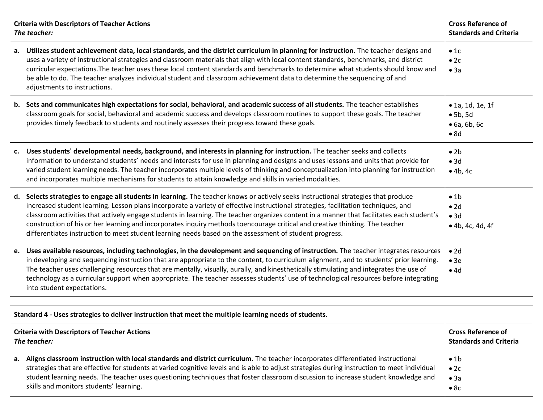| <b>Criteria with Descriptors of Teacher Actions</b><br>The teacher: |                                                                                                                                                                                                                                                                                                                                                                                                                                                                                                                                                                                                                                                                  | <b>Cross Reference of</b><br><b>Standards and Criteria</b>           |  |
|---------------------------------------------------------------------|------------------------------------------------------------------------------------------------------------------------------------------------------------------------------------------------------------------------------------------------------------------------------------------------------------------------------------------------------------------------------------------------------------------------------------------------------------------------------------------------------------------------------------------------------------------------------------------------------------------------------------------------------------------|----------------------------------------------------------------------|--|
| а.                                                                  | Utilizes student achievement data, local standards, and the district curriculum in planning for instruction. The teacher designs and<br>uses a variety of instructional strategies and classroom materials that align with local content standards, benchmarks, and district<br>curricular expectations. The teacher uses these local content standards and benchmarks to determine what students should know and<br>be able to do. The teacher analyzes individual student and classroom achievement data to determine the sequencing of and<br>adjustments to instructions.                                                                                    | •1c<br>$\bullet$ 2c<br>• 3a                                          |  |
|                                                                     | b. Sets and communicates high expectations for social, behavioral, and academic success of all students. The teacher establishes<br>classroom goals for social, behavioral and academic success and develops classroom routines to support these goals. The teacher<br>provides timely feedback to students and routinely assesses their progress toward these goals.                                                                                                                                                                                                                                                                                            | • 1a, 1d, 1e, 1f<br>• 5b, 5d<br>$\bullet$ 6a, 6b, 6c<br>$\bullet$ 8d |  |
| c.                                                                  | Uses students' developmental needs, background, and interests in planning for instruction. The teacher seeks and collects<br>information to understand students' needs and interests for use in planning and designs and uses lessons and units that provide for<br>varied student learning needs. The teacher incorporates multiple levels of thinking and conceptualization into planning for instruction<br>and incorporates multiple mechanisms for students to attain knowledge and skills in varied modalities.                                                                                                                                            | $\bullet$ 2b<br>• 3d<br>• 4b, 4c                                     |  |
|                                                                     | d. Selects strategies to engage all students in learning. The teacher knows or actively seeks instructional strategies that produce<br>increased student learning. Lesson plans incorporate a variety of effective instructional strategies, facilitation techniques, and<br>classroom activities that actively engage students in learning. The teacher organizes content in a manner that facilitates each student's<br>construction of his or her learning and incorporates inquiry methods toencourage critical and creative thinking. The teacher<br>differentiates instruction to meet student learning needs based on the assessment of student progress. | $\bullet$ 1b<br>$\bullet$ 2d<br>• 3d<br>$\bullet$ 4b, 4c, 4d, 4f     |  |
|                                                                     | e. Uses available resources, including technologies, in the development and sequencing of instruction. The teacher integrates resources<br>in developing and sequencing instruction that are appropriate to the content, to curriculum alignment, and to students' prior learning.<br>The teacher uses challenging resources that are mentally, visually, aurally, and kinesthetically stimulating and integrates the use of<br>technology as a curricular support when appropriate. The teacher assesses students' use of technological resources before integrating<br>into student expectations.                                                              | $\bullet$ 2d<br>• 3e<br>•4d                                          |  |
|                                                                     |                                                                                                                                                                                                                                                                                                                                                                                                                                                                                                                                                                                                                                                                  |                                                                      |  |
|                                                                     | Standard 4 - Uses strategies to deliver instruction that meet the multiple learning needs of students.                                                                                                                                                                                                                                                                                                                                                                                                                                                                                                                                                           |                                                                      |  |
|                                                                     |                                                                                                                                                                                                                                                                                                                                                                                                                                                                                                                                                                                                                                                                  |                                                                      |  |

| <b>Criteria with Descriptors of Teacher Actions</b> |                                                                                                                                                                                                                                                                                                                                                                                                                                                                      | <b>Cross Reference of</b>                   |
|-----------------------------------------------------|----------------------------------------------------------------------------------------------------------------------------------------------------------------------------------------------------------------------------------------------------------------------------------------------------------------------------------------------------------------------------------------------------------------------------------------------------------------------|---------------------------------------------|
| The teacher:                                        |                                                                                                                                                                                                                                                                                                                                                                                                                                                                      | <b>Standards and Criteria</b>               |
|                                                     | a. Aligns classroom instruction with local standards and district curriculum. The teacher incorporates differentiated instructional<br>strategies that are effective for students at varied cognitive levels and is able to adjust strategies during instruction to meet individual<br>student learning needs. The teacher uses questioning techniques that foster classroom discussion to increase student knowledge and<br>skills and monitors students' learning. | $\bullet$ 1b<br>$\bullet$ 2c<br>• 3a<br>•8c |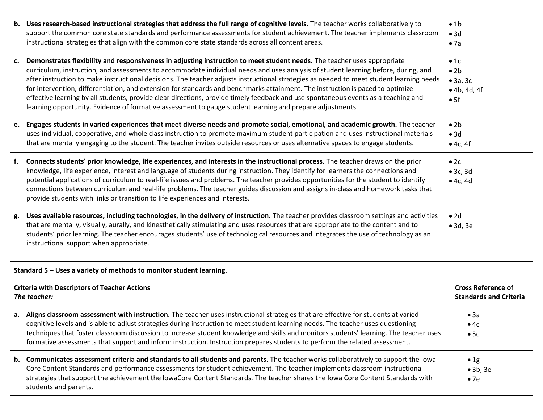|           | b. Uses research-based instructional strategies that address the full range of cognitive levels. The teacher works collaboratively to<br>support the common core state standards and performance assessments for student achievement. The teacher implements classroom<br>instructional strategies that align with the common core state standards across all content areas.                                                                                                                                                                                                                                                                                                                                                                                                                    | $\bullet$ 1b<br>• 3d<br>• 7a                            |
|-----------|-------------------------------------------------------------------------------------------------------------------------------------------------------------------------------------------------------------------------------------------------------------------------------------------------------------------------------------------------------------------------------------------------------------------------------------------------------------------------------------------------------------------------------------------------------------------------------------------------------------------------------------------------------------------------------------------------------------------------------------------------------------------------------------------------|---------------------------------------------------------|
| <b>C.</b> | Demonstrates flexibility and responsiveness in adjusting instruction to meet student needs. The teacher uses appropriate<br>curriculum, instruction, and assessments to accommodate individual needs and uses analysis of student learning before, during, and<br>after instruction to make instructional decisions. The teacher adjusts instructional strategies as needed to meet student learning needs<br>for intervention, differentiation, and extension for standards and benchmarks attainment. The instruction is paced to optimize<br>effective learning by all students, provide clear directions, provide timely feedback and use spontaneous events as a teaching and<br>learning opportunity. Evidence of formative assessment to gauge student learning and prepare adjustments. | •1c<br>$\bullet$ 2b<br>• 3a, 3c<br>• 4b, 4d, 4f<br>• 5f |
| е.        | Engages students in varied experiences that meet diverse needs and promote social, emotional, and academic growth. The teacher<br>uses individual, cooperative, and whole class instruction to promote maximum student participation and uses instructional materials<br>that are mentally engaging to the student. The teacher invites outside resources or uses alternative spaces to engage students.                                                                                                                                                                                                                                                                                                                                                                                        | $\bullet$ 2h<br>• 3d<br>$\bullet$ 4c, 4f                |
| f.        | Connects students' prior knowledge, life experiences, and interests in the instructional process. The teacher draws on the prior<br>knowledge, life experience, interest and language of students during instruction. They identify for learners the connections and<br>potential applications of curriculum to real-life issues and problems. The teacher provides opportunities for the student to identify<br>connections between curriculum and real-life problems. The teacher guides discussion and assigns in-class and homework tasks that<br>provide students with links or transition to life experiences and interests.                                                                                                                                                              | •2c<br>• 3c, 3d<br>•4c,4d                               |
| g.        | Uses available resources, including technologies, in the delivery of instruction. The teacher provides classroom settings and activities<br>that are mentally, visually, aurally, and kinesthetically stimulating and uses resources that are appropriate to the content and to<br>students' prior learning. The teacher encourages students' use of technological resources and integrates the use of technology as an<br>instructional support when appropriate.                                                                                                                                                                                                                                                                                                                              | $\bullet$ 2d<br>$\bullet$ 3d, 3e                        |

|                                                                     | Standard 5 – Uses a variety of methods to monitor student learning.                                                                                                                                                                                                                                                                                                                                                                                                                                                                                |                                                            |  |
|---------------------------------------------------------------------|----------------------------------------------------------------------------------------------------------------------------------------------------------------------------------------------------------------------------------------------------------------------------------------------------------------------------------------------------------------------------------------------------------------------------------------------------------------------------------------------------------------------------------------------------|------------------------------------------------------------|--|
| <b>Criteria with Descriptors of Teacher Actions</b><br>The teacher: |                                                                                                                                                                                                                                                                                                                                                                                                                                                                                                                                                    | <b>Cross Reference of</b><br><b>Standards and Criteria</b> |  |
|                                                                     | a. Aligns classroom assessment with instruction. The teacher uses instructional strategies that are effective for students at varied<br>cognitive levels and is able to adjust strategies during instruction to meet student learning needs. The teacher uses questioning<br>techniques that foster classroom discussion to increase student knowledge and skills and monitors students' learning. The teacher uses<br>formative assessments that support and inform instruction. Instruction prepares students to perform the related assessment. | $\bullet$ 3a<br>$\bullet$ 4c<br>•5c                        |  |
|                                                                     | b. Communicates assessment criteria and standards to all students and parents. The teacher works collaboratively to support the lowa<br>Core Content Standards and performance assessments for student achievement. The teacher implements classroom instructional<br>strategies that support the achievement the IowaCore Content Standards. The teacher shares the Iowa Core Content Standards with<br>students and parents.                                                                                                                     | $\bullet$ 1g<br>$\bullet$ 3b, 3e<br>$\bullet$ 7e           |  |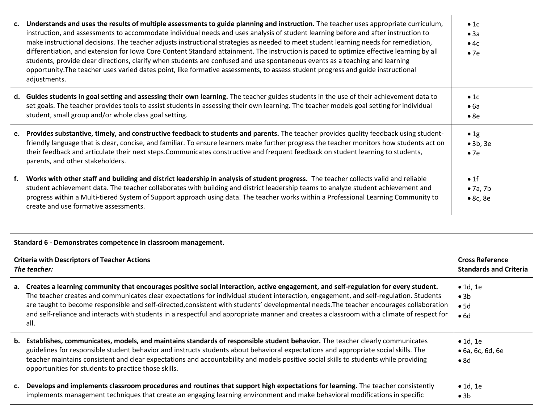| c. | Understands and uses the results of multiple assessments to guide planning and instruction. The teacher uses appropriate curriculum,<br>instruction, and assessments to accommodate individual needs and uses analysis of student learning before and after instruction to<br>make instructional decisions. The teacher adjusts instructional strategies as needed to meet student learning needs for remediation,<br>differentiation, and extension for Iowa Core Content Standard attainment. The instruction is paced to optimize effective learning by all<br>students, provide clear directions, clarify when students are confused and use spontaneous events as a teaching and learning<br>opportunity. The teacher uses varied dates point, like formative assessments, to assess student progress and guide instructional<br>adjustments. | $\bullet$ 1c<br>• 3a<br>$\bullet$ 4c<br>$\bullet$ 7e |
|----|----------------------------------------------------------------------------------------------------------------------------------------------------------------------------------------------------------------------------------------------------------------------------------------------------------------------------------------------------------------------------------------------------------------------------------------------------------------------------------------------------------------------------------------------------------------------------------------------------------------------------------------------------------------------------------------------------------------------------------------------------------------------------------------------------------------------------------------------------|------------------------------------------------------|
|    | d. Guides students in goal setting and assessing their own learning. The teacher guides students in the use of their achievement data to<br>set goals. The teacher provides tools to assist students in assessing their own learning. The teacher models goal setting for individual<br>student, small group and/or whole class goal setting.                                                                                                                                                                                                                                                                                                                                                                                                                                                                                                      | $\bullet$ 1c<br>$\bullet$ 6a<br>•8e                  |
|    | e. Provides substantive, timely, and constructive feedback to students and parents. The teacher provides quality feedback using student-<br>friendly language that is clear, concise, and familiar. To ensure learners make further progress the teacher monitors how students act on<br>their feedback and articulate their next steps. Communicates constructive and frequent feedback on student learning to students,<br>parents, and other stakeholders.                                                                                                                                                                                                                                                                                                                                                                                      | $\bullet$ 1g<br>$\bullet$ 3b, 3e<br>$\bullet$ 7e     |
| f. | Works with other staff and building and district leadership in analysis of student progress. The teacher collects valid and reliable<br>student achievement data. The teacher collaborates with building and district leadership teams to analyze student achievement and<br>progress within a Multi-tiered System of Support approach using data. The teacher works within a Professional Learning Community to<br>create and use formative assessments.                                                                                                                                                                                                                                                                                                                                                                                          | $\bullet$ 1f<br>$\bullet$ 7a, 7b<br>$\bullet$ 8c, 8e |

| Standard 6 - Demonstrates competence in classroom management.       |                                                                                                                                                                                                                                                                                                                                                                                                                                                                                                                                                                                  |                                                              |
|---------------------------------------------------------------------|----------------------------------------------------------------------------------------------------------------------------------------------------------------------------------------------------------------------------------------------------------------------------------------------------------------------------------------------------------------------------------------------------------------------------------------------------------------------------------------------------------------------------------------------------------------------------------|--------------------------------------------------------------|
| <b>Criteria with Descriptors of Teacher Actions</b><br>The teacher: |                                                                                                                                                                                                                                                                                                                                                                                                                                                                                                                                                                                  | <b>Cross Reference</b><br><b>Standards and Criteria</b>      |
|                                                                     | a. Creates a learning community that encourages positive social interaction, active engagement, and self-regulation for every student.<br>The teacher creates and communicates clear expectations for individual student interaction, engagement, and self-regulation. Students<br>are taught to become responsible and self-directed, consistent with students' developmental needs. The teacher encourages collaboration<br>and self-reliance and interacts with students in a respectful and appropriate manner and creates a classroom with a climate of respect for<br>all. | $\bullet$ 1d, 1e<br>$\bullet$ 3b<br>•5d<br>•6d               |
|                                                                     | b. Establishes, communicates, models, and maintains standards of responsible student behavior. The teacher clearly communicates<br>guidelines for responsible student behavior and instructs students about behavioral expectations and appropriate social skills. The<br>teacher maintains consistent and clear expectations and accountability and models positive social skills to students while providing<br>opportunities for students to practice those skills.                                                                                                           | $\bullet$ 1d, 1e<br>$\bullet$ 6a, 6c, 6d, 6e<br>$\bullet$ 8d |
|                                                                     | c. Develops and implements classroom procedures and routines that support high expectations for learning. The teacher consistently<br>implements management techniques that create an engaging learning environment and make behavioral modifications in specific                                                                                                                                                                                                                                                                                                                | $\bullet$ 1d, 1e<br>$\bullet$ 3b                             |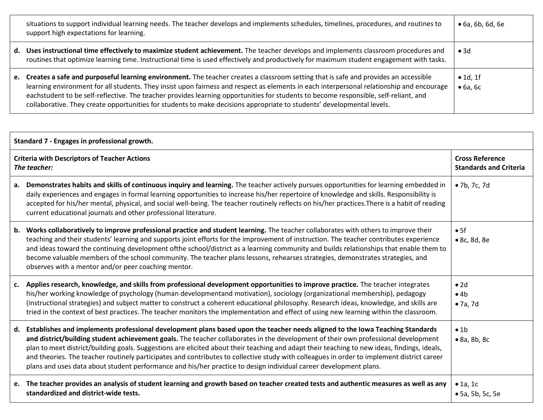| situations to support individual learning needs. The teacher develops and implements schedules, timelines, procedures, and routines to<br>support high expectations for learning.                                                                                                                                                                                                                                                                                                                                                                     | $\bullet$ 6a, 6b, 6d, 6e             |
|-------------------------------------------------------------------------------------------------------------------------------------------------------------------------------------------------------------------------------------------------------------------------------------------------------------------------------------------------------------------------------------------------------------------------------------------------------------------------------------------------------------------------------------------------------|--------------------------------------|
| d. Uses instructional time effectively to maximize student achievement. The teacher develops and implements classroom procedures and<br>routines that optimize learning time. Instructional time is used effectively and productively for maximum student engagement with tasks.                                                                                                                                                                                                                                                                      | $\bullet$ 3d                         |
| e. Creates a safe and purposeful learning environment. The teacher creates a classroom setting that is safe and provides an accessible<br>learning environment for all students. They insist upon fairness and respect as elements in each interpersonal relationship and encourage<br>eachstudent to be self-reflective. The teacher provides learning opportunities for students to become responsible, self-reliant, and<br>collaborative. They create opportunities for students to make decisions appropriate to students' developmental levels. | $\bullet$ 1d, 1f<br>$\bullet$ 6a, 6c |

| Standard 7 - Engages in professional growth.                        |                                                                                                                                                                                                                                                                                                                                                                                                                                                                                                                                                                                                                                                                                           |                                                         |
|---------------------------------------------------------------------|-------------------------------------------------------------------------------------------------------------------------------------------------------------------------------------------------------------------------------------------------------------------------------------------------------------------------------------------------------------------------------------------------------------------------------------------------------------------------------------------------------------------------------------------------------------------------------------------------------------------------------------------------------------------------------------------|---------------------------------------------------------|
| <b>Criteria with Descriptors of Teacher Actions</b><br>The teacher: |                                                                                                                                                                                                                                                                                                                                                                                                                                                                                                                                                                                                                                                                                           | <b>Cross Reference</b><br><b>Standards and Criteria</b> |
|                                                                     | a. Demonstrates habits and skills of continuous inquiry and learning. The teacher actively pursues opportunities for learning embedded in<br>daily experiences and engages in formal learning opportunities to increase his/her repertoire of knowledge and skills. Responsibility is<br>accepted for his/her mental, physical, and social well-being. The teacher routinely reflects on his/her practices. There is a habit of reading<br>current educational journals and other professional literature.                                                                                                                                                                                | • 7b, 7c, 7d                                            |
|                                                                     | b. Works collaboratively to improve professional practice and student learning. The teacher collaborates with others to improve their<br>teaching and their students' learning and supports joint efforts for the improvement of instruction. The teacher contributes experience<br>and ideas toward the continuing development ofthe school/district as a learning community and builds relationships that enable them to<br>become valuable members of the school community. The teacher plans lessons, rehearses strategies, demonstrates strategies, and<br>observes with a mentor and/or peer coaching mentor.                                                                       | • 5f<br>• 8c, 8d, 8e                                    |
|                                                                     | c. Applies research, knowledge, and skills from professional development opportunities to improve practice. The teacher integrates<br>his/her working knowledge of psychology (human developmentand motivation), sociology (organizational membership), pedagogy<br>(instructional strategies) and subject matter to construct a coherent educational philosophy. Research ideas, knowledge, and skills are<br>tried in the context of best practices. The teacher monitors the implementation and effect of using new learning within the classroom.                                                                                                                                     | $\bullet$ 2d<br>•4b<br>$\bullet$ 7a, 7d                 |
|                                                                     | d. Establishes and implements professional development plans based upon the teacher needs aligned to the Iowa Teaching Standards<br>and district/building student achievement goals. The teacher collaborates in the development of their own professional development<br>plan to meet district/building goals. Suggestions are elicited about their teaching and adapt their teaching to new ideas, findings, ideals,<br>and theories. The teacher routinely participates and contributes to collective study with colleagues in order to implement district career<br>plans and uses data about student performance and his/her practice to design individual career development plans. | • 1b<br>$\bullet$ 8a, 8b, 8c                            |
|                                                                     | e. The teacher provides an analysis of student learning and growth based on teacher created tests and authentic measures as well as any<br>standardized and district-wide tests.                                                                                                                                                                                                                                                                                                                                                                                                                                                                                                          | $\bullet$ 1a, 1c<br>• 5a, 5b, 5c, 5e                    |